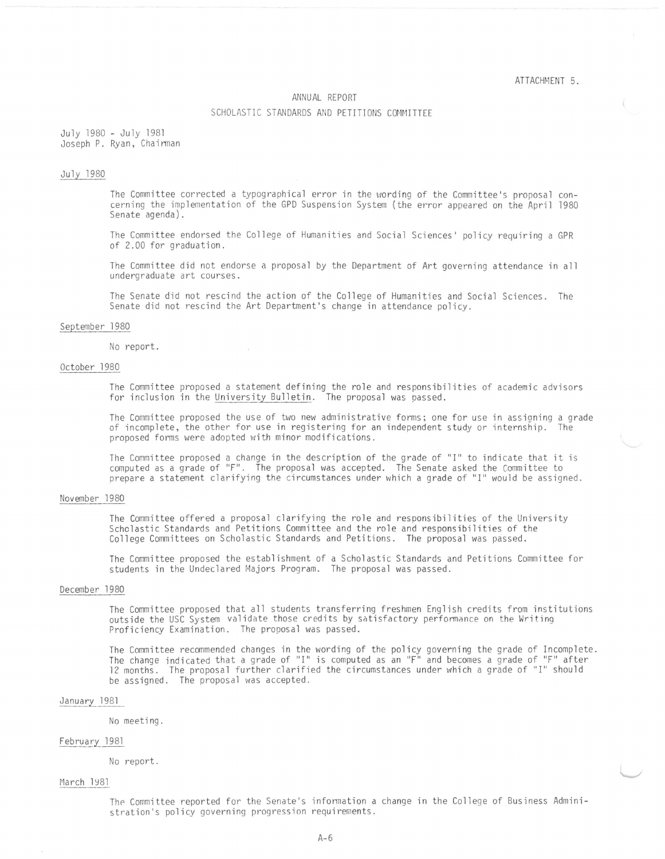#### ATTACHMENT 5.

### ANNUAL REPORT

### SCHOLASTIC STANDARDS AND PETITIONS COMMITTEE

July 1980 - July 1981 Joseph P. Ryan, Chairman

# July 1980

The Committee corrected a typographical error in the wording of the Committee's proposal concerning the implementation of the GPO Suspension System (the error appeared on the April 1980 Senate agenda).

The Committee endorsed the College of Humanities and Social Sciences' policy requiring a GPR of 2.00 for graduation.

The Committee did not endorse a proposal by the Department of Art governing attendance in all undergraduate art courses.

The Senate did not rescind the action of the College of Humanities and Social Sciences. The Senate did not rescind the Art Department's change in attendance policy.

### September 1980

No report.

## October 1980

The Committee proposed a statement defining the role and responsibilities of academic advisors for inclusion in the University Bulletin. The proposal was passed.

The Committee proposed the use of two new administrative forms; one for use in assigning a grade of incomplete, the other for use in registering for an independent study or internship. The proposed forms were adopted with minor modifications.

The Committee proposed a change in the description of the grade of "I" to indicate that it is computed as a grade of "F". The proposal was accepted. The Senate asked the Committee to prepare a statement clarifying the circumstances under which a grade of "I" would be assigned.

# November 1980

The Committee offered a proposal clarifying the role and responsibilities of the University Scholastic Standards and Petitions Committee and the role and responsibilities of the College Committees on Scholastic Standards and Petitions. The proposal was passed.

The Committee proposed the establishment of a Scholastic Standards and Petitions Committee for students in the Undeclared Majors Program. The proposal was passed.

# December 1980

The Committee proposed that all students transferring freshmen English credits from institutions outside the USC System validate those credits by sotisfactory performance on the Writing Proficiency Examination. The proposal was passed.

The Committee recanmended changes in the wording of the policy governing the grade of Incomplete. The change indicated that a grade of "I" is computed as an "F" and becomes a grade of "F" after 12 months. The proposal further clarified the circumstances under which a grade of "I" should be assigned. The proposal was accepted.

## January 1981

#### No meeting .

### February 1981

No report.

### March 1981

The Committee reported for the Senate's information a change in the College of Business Administration's policy governing progression requirements.